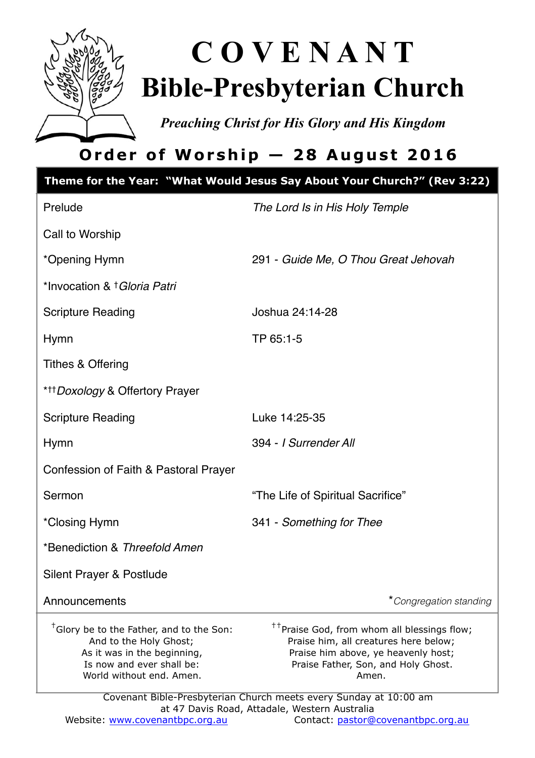

# **C O V E N A N T Bible-Presbyterian Church**

*Preaching Christ for His Glory and His Kingdom* 

# **Order of Worship — 28 August 2016**

|                                                                                                                                                                        | Theme for the Year: "What Would Jesus Say About Your Church?" (Rev 3:22)                                                                                                                                                                                     |  |
|------------------------------------------------------------------------------------------------------------------------------------------------------------------------|--------------------------------------------------------------------------------------------------------------------------------------------------------------------------------------------------------------------------------------------------------------|--|
| Prelude                                                                                                                                                                | The Lord Is in His Holy Temple                                                                                                                                                                                                                               |  |
| Call to Worship                                                                                                                                                        |                                                                                                                                                                                                                                                              |  |
| *Opening Hymn                                                                                                                                                          | 291 - Guide Me, O Thou Great Jehovah                                                                                                                                                                                                                         |  |
| *Invocation & † Gloria Patri                                                                                                                                           |                                                                                                                                                                                                                                                              |  |
| <b>Scripture Reading</b>                                                                                                                                               | Joshua 24:14-28                                                                                                                                                                                                                                              |  |
| Hymn                                                                                                                                                                   | TP 65:1-5                                                                                                                                                                                                                                                    |  |
| Tithes & Offering                                                                                                                                                      |                                                                                                                                                                                                                                                              |  |
| * <sup>++</sup> Doxology & Offertory Prayer                                                                                                                            |                                                                                                                                                                                                                                                              |  |
| <b>Scripture Reading</b>                                                                                                                                               | Luke 14:25-35                                                                                                                                                                                                                                                |  |
| Hymn                                                                                                                                                                   | 394 - I Surrender All                                                                                                                                                                                                                                        |  |
| Confession of Faith & Pastoral Prayer                                                                                                                                  |                                                                                                                                                                                                                                                              |  |
| Sermon                                                                                                                                                                 | "The Life of Spiritual Sacrifice"                                                                                                                                                                                                                            |  |
| *Closing Hymn                                                                                                                                                          | 341 - Something for Thee                                                                                                                                                                                                                                     |  |
| *Benediction & Threefold Amen                                                                                                                                          |                                                                                                                                                                                                                                                              |  |
| Silent Prayer & Postlude                                                                                                                                               |                                                                                                                                                                                                                                                              |  |
| Announcements                                                                                                                                                          | *Congregation standing                                                                                                                                                                                                                                       |  |
| <sup>†</sup> Glory be to the Father, and to the Son:<br>And to the Holy Ghost;<br>As it was in the beginning,<br>Is now and ever shall be:<br>World without end. Amen. | <sup>††</sup> Praise God, from whom all blessings flow;<br>Praise him, all creatures here below;<br>Praise him above, ye heavenly host;<br>Praise Father, Son, and Holy Ghost.<br>Amen.<br>Covenant Bible-Presbyterian Church meets every Sunday at 10:00 am |  |
| at 47 Davis Road, Attadale, Western Australia                                                                                                                          |                                                                                                                                                                                                                                                              |  |

Website: [www.covenantbpc.org.au](http://www.covenantbpc.org.au) Contact: [pastor@covenantbpc.org.au](mailto:pastor@covenantbpc.org.au)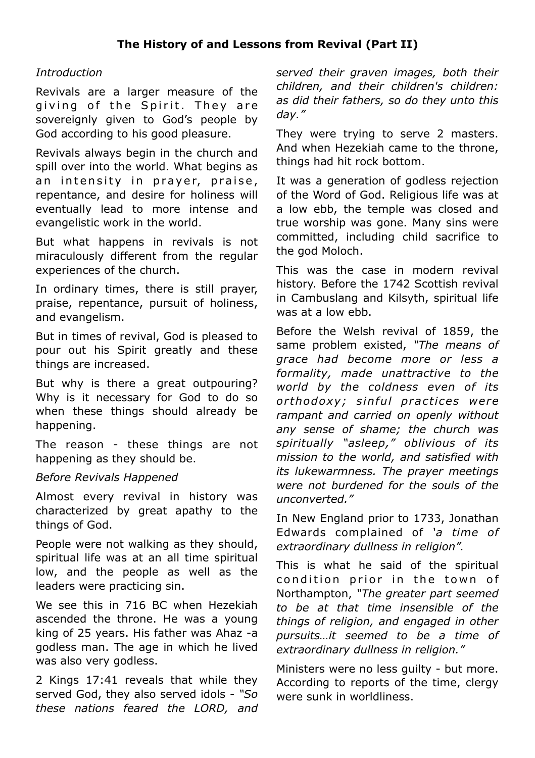#### *Introduction*

Revivals are a larger measure of the giving of the Spirit. They are sovereignly given to God's people by God according to his good pleasure.

Revivals always begin in the church and spill over into the world. What begins as an intensity in praver, praise, repentance, and desire for holiness will eventually lead to more intense and evangelistic work in the world.

But what happens in revivals is not miraculously different from the regular experiences of the church.

In ordinary times, there is still prayer, praise, repentance, pursuit of holiness, and evangelism.

But in times of revival, God is pleased to pour out his Spirit greatly and these things are increased.

But why is there a great outpouring? Why is it necessary for God to do so when these things should already be happening.

The reason - these things are not happening as they should be.

#### *Before Revivals Happened*

Almost every revival in history was characterized by great apathy to the things of God.

People were not walking as they should, spiritual life was at an all time spiritual low, and the people as well as the leaders were practicing sin.

We see this in 716 BC when Hezekiah ascended the throne. He was a young king of 25 years. His father was Ahaz -a godless man. The age in which he lived was also very godless.

2 Kings 17:41 reveals that while they served God, they also served idols - *"So these nations feared the LORD, and*  *served their graven images, both their children, and their children's children: as did their fathers, so do they unto this day."*

They were trying to serve 2 masters. And when Hezekiah came to the throne, things had hit rock bottom.

It was a generation of godless rejection of the Word of God. Religious life was at a low ebb, the temple was closed and true worship was gone. Many sins were committed, including child sacrifice to the god Moloch.

This was the case in modern revival history. Before the 1742 Scottish revival in Cambuslang and Kilsyth, spiritual life was at a low ebb.

Before the Welsh revival of 1859, the same problem existed, *"The means of grace had become more or less a formality, made unattractive to the world by the coldness even of its o r thodoxy; sin ful p ra c ti ce s were rampant and carried on openly without any sense of shame; the church was spiritually "asleep," oblivious of its mission to the world, and satisfied with its lukewarmness. The prayer meetings were not burdened for the souls of the unconverted."* 

In New England prior to 1733, Jonathan Edwards complained of *'a time of extraordinary dullness in religion".*

This is what he said of the spiritual condition prior in the town of Northampton, *"The greater part seemed to be at that time insensible of the things of religion, and engaged in other pursuits…it seemed to be a time of extraordinary dullness in religion."*

Ministers were no less guilty - but more. According to reports of the time, clergy were sunk in worldliness.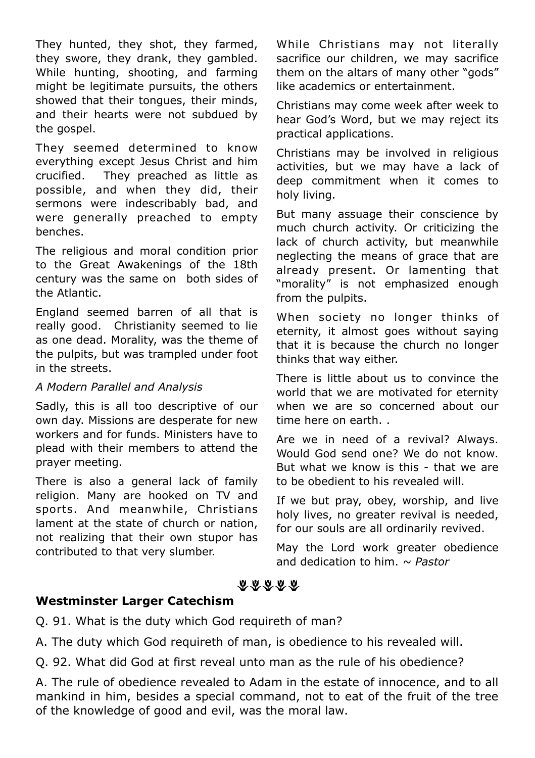They hunted, they shot, they farmed, they swore, they drank, they gambled. While hunting, shooting, and farming might be legitimate pursuits, the others showed that their tongues, their minds, and their hearts were not subdued by the gospel.

They seemed determined to know everything except Jesus Christ and him crucified. They preached as little as possible, and when they did, their sermons were indescribably bad, and were generally preached to empty benches.

The religious and moral condition prior to the Great Awakenings of the 18th century was the same on both sides of the Atlantic.

England seemed barren of all that is really good. Christianity seemed to lie as one dead. Morality, was the theme of the pulpits, but was trampled under foot in the streets.

#### *A Modern Parallel and Analysis*

Sadly, this is all too descriptive of our own day. Missions are desperate for new workers and for funds. Ministers have to plead with their members to attend the prayer meeting.

There is also a general lack of family religion. Many are hooked on TV and sports. And meanwhile, Christians lament at the state of church or nation, not realizing that their own stupor has contributed to that very slumber.

While Christians may not literally sacrifice our children, we may sacrifice them on the altars of many other "gods" like academics or entertainment.

Christians may come week after week to hear God's Word, but we may reject its practical applications.

Christians may be involved in religious activities, but we may have a lack of deep commitment when it comes to holy living.

But many assuage their conscience by much church activity. Or criticizing the lack of church activity, but meanwhile neglecting the means of grace that are already present. Or lamenting that "morality" is not emphasized enough from the pulpits.

When society no longer thinks of eternity, it almost goes without saying that it is because the church no longer thinks that way either.

There is little about us to convince the world that we are motivated for eternity when we are so concerned about our time here on earth. .

Are we in need of a revival? Always. Would God send one? We do not know. But what we know is this - that we are to be obedient to his revealed will.

If we but pray, obey, worship, and live holy lives, no greater revival is needed. for our souls are all ordinarily revived.

May the Lord work greater obedience and dedication to him. *~ Pastor*

# おおおおお

# **Westminster Larger Catechism**

Q. 91. What is the duty which God requireth of man?

A. The duty which God requireth of man, is obedience to his revealed will.

Q. 92. What did God at first reveal unto man as the rule of his obedience?

A. The rule of obedience revealed to Adam in the estate of innocence, and to all mankind in him, besides a special command, not to eat of the fruit of the tree of the knowledge of good and evil, was the moral law.